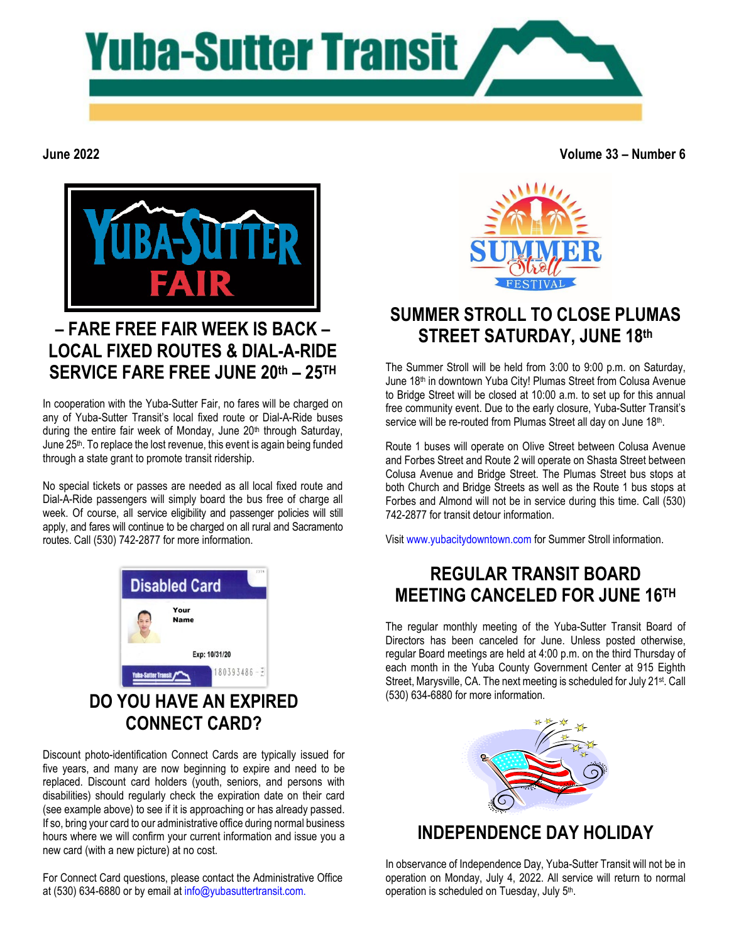

**June 2022**

**Volume 33 – Number 6**



# **– FARE FREE FAIR WEEK IS BACK – LOCAL FIXED ROUTES & DIAL-A-RIDE SERVICE FARE FREE JUNE 20th – 25TH**

In cooperation with the Yuba-Sutter Fair, no fares will be charged on any of Yuba-Sutter Transit's local fixed route or Dial-A-Ride buses during the entire fair week of Monday, June 20<sup>th</sup> through Saturday, June 25<sup>th</sup>. To replace the lost revenue, this event is again being funded through a state grant to promote transit ridership.

No special tickets or passes are needed as all local fixed route and Dial-A-Ride passengers will simply board the bus free of charge all week. Of course, all service eligibility and passenger policies will still apply, and fares will continue to be charged on all rural and Sacramento routes. Call (530) 742-2877 for more information.



Discount photo-identification Connect Cards are typically issued for five years, and many are now beginning to expire and need to be replaced. Discount card holders (youth, seniors, and persons with disabilities) should regularly check the expiration date on their card (see example above) to see if it is approaching or has already passed. If so, bring your card to our administrative office during normal business hours where we will confirm your current information and issue you a new card (with a new picture) at no cost.

For Connect Card questions, please contact the Administrative Office at (530) 634-6880 or by email at [info@yubasuttertransit.com.](mailto:info@yubasuttertransit.com)



#### **SUMMER STROLL TO CLOSE PLUMAS STREET SATURDAY, JUNE 18th**

The Summer Stroll will be held from 3:00 to 9:00 p.m. on Saturday, June 18<sup>th</sup> in downtown Yuba City! Plumas Street from Colusa Avenue to Bridge Street will be closed at 10:00 a.m. to set up for this annual free community event. Due to the early closure, Yuba-Sutter Transit's service will be re-routed from Plumas Street all day on June 18th.

Route 1 buses will operate on Olive Street between Colusa Avenue and Forbes Street and Route 2 will operate on Shasta Street between Colusa Avenue and Bridge Street. The Plumas Street bus stops at both Church and Bridge Streets as well as the Route 1 bus stops at Forbes and Almond will not be in service during this time. Call (530) 742-2877 for transit detour information.

Visit [www.yubacitydowntown.com](http://www.yubacitydowntown.com/) for Summer Stroll information.

# **REGULAR TRANSIT BOARD MEETING CANCELED FOR JUNE 16TH**

The regular monthly meeting of the Yuba-Sutter Transit Board of Directors has been canceled for June. Unless posted otherwise, regular Board meetings are held at 4:00 p.m. on the third Thursday of each month in the Yuba County Government Center at 915 Eighth Street, Marysville, CA. The next meeting is scheduled for July 21<sup>st</sup>. Call (530) 634-6880 for more information.



### **INDEPENDENCE DAY HOLIDAY**

In observance of Independence Day, Yuba-Sutter Transit will not be in operation on Monday, July 4, 2022. All service will return to normal operation is scheduled on Tuesday, July 5th.